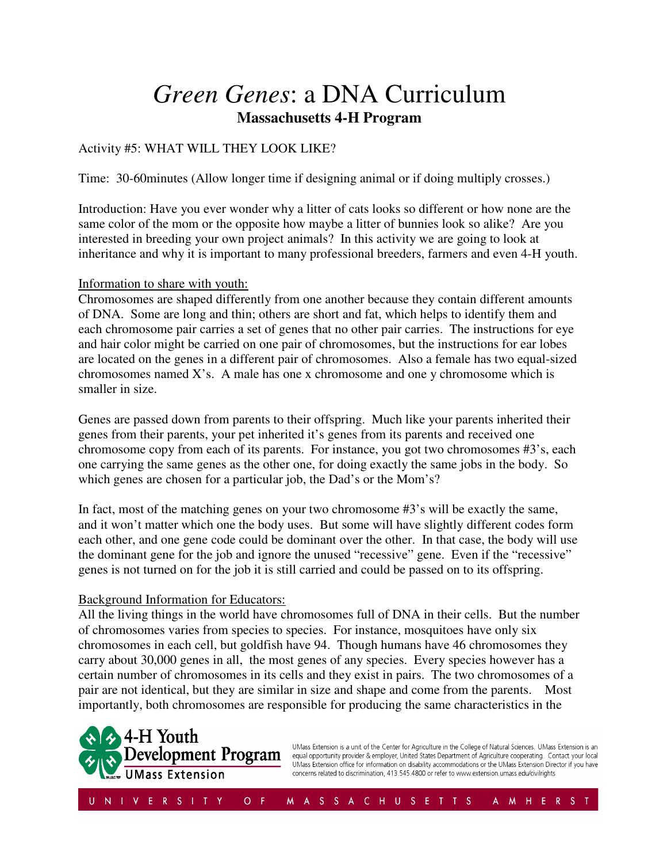## *Green Genes*: a DNA Curriculum **Massachusetts 4-H Program**

### Activity #5: WHAT WILL THEY LOOK LIKE?

Time: 30-60minutes (Allow longer time if designing animal or if doing multiply crosses.)

Introduction: Have you ever wonder why a litter of cats looks so different or how none are the same color of the mom or the opposite how maybe a litter of bunnies look so alike? Are you interested in breeding your own project animals? In this activity we are going to look at inheritance and why it is important to many professional breeders, farmers and even 4-H youth.

#### Information to share with youth:

Chromosomes are shaped differently from one another because they contain different amounts of DNA. Some are long and thin; others are short and fat, which helps to identify them and each chromosome pair carries a set of genes that no other pair carries. The instructions for eye and hair color might be carried on one pair of chromosomes, but the instructions for ear lobes are located on the genes in a different pair of chromosomes. Also a female has two equal-sized chromosomes named  $X$ 's. A male has one x chromosome and one y chromosome which is smaller in size.

Genes are passed down from parents to their offspring. Much like your parents inherited their genes from their parents, your pet inherited it's genes from its parents and received one chromosome copy from each of its parents. For instance, you got two chromosomes #3's, each one carrying the same genes as the other one, for doing exactly the same jobs in the body. So which genes are chosen for a particular job, the Dad's or the Mom's?

In fact, most of the matching genes on your two chromosome #3's will be exactly the same, and it won't matter which one the body uses. But some will have slightly different codes form each other, and one gene code could be dominant over the other. In that case, the body will use the dominant gene for the job and ignore the unused "recessive" gene. Even if the "recessive" genes is not turned on for the job it is still carried and could be passed on to its offspring.

#### Background Information for Educators:

All the living things in the world have chromosomes full of DNA in their cells. But the number of chromosomes varies from species to species. For instance, mosquitoes have only six chromosomes in each cell, but goldfish have 94. Though humans have 46 chromosomes they carry about 30,000 genes in all, the most genes of any species. Every species however has a certain number of chromosomes in its cells and they exist in pairs. The two chromosomes of a pair are not identical, but they are similar in size and shape and come from the parents. Most importantly, both chromosomes are responsible for producing the same characteristics in the



UMass Extension is a unit of the Center for Agriculture in the College of Natural Sciences. UMass Extension is an equal opportunity provider & employer, United States Department of Agriculture cooperating. Contact your local UMass Extension office for information on disability accommodations or the UMass Extension Director if you have concerns related to discrimination, 413.545.4800 or refer to www.extension.umass.edu/civilrights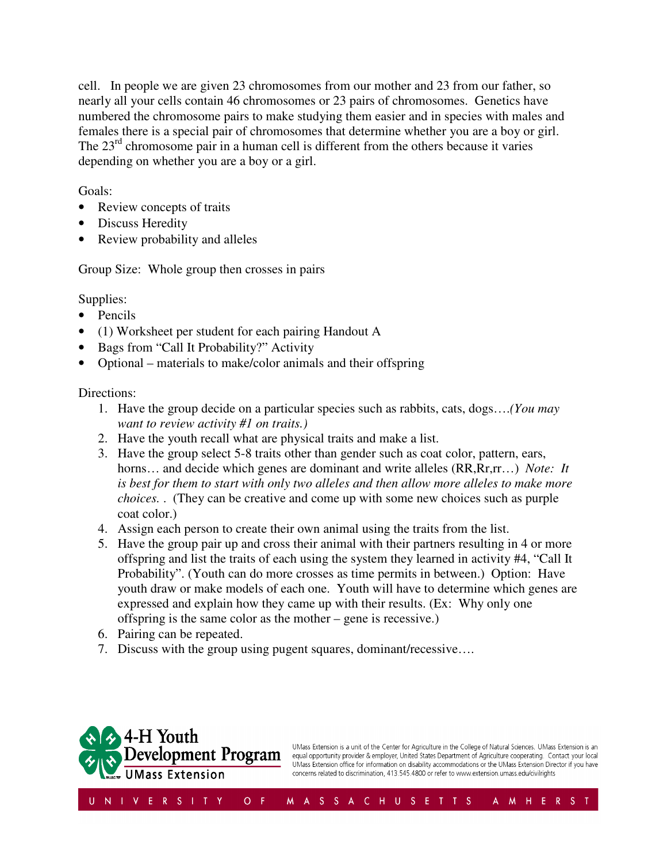cell. In people we are given 23 chromosomes from our mother and 23 from our father, so nearly all your cells contain 46 chromosomes or 23 pairs of chromosomes. Genetics have numbered the chromosome pairs to make studying them easier and in species with males and females there is a special pair of chromosomes that determine whether you are a boy or girl. The  $23<sup>rd</sup>$  chromosome pair in a human cell is different from the others because it varies depending on whether you are a boy or a girl.

Goals:

- Review concepts of traits
- Discuss Heredity
- Review probability and alleles

Group Size: Whole group then crosses in pairs

Supplies:

- Pencils
- (1) Worksheet per student for each pairing Handout A
- Bags from "Call It Probability?" Activity
- Optional materials to make/color animals and their offspring

Directions:

- 1. Have the group decide on a particular species such as rabbits, cats, dogs….*(You may want to review activity #1 on traits.)*
- 2. Have the youth recall what are physical traits and make a list.
- 3. Have the group select 5-8 traits other than gender such as coat color, pattern, ears, horns... and decide which genes are dominant and write alleles (RR,Rr,rr...) *Note: It is best for them to start with only two alleles and then allow more alleles to make more choices.* . (They can be creative and come up with some new choices such as purple coat color.)
- 4. Assign each person to create their own animal using the traits from the list.
- 5. Have the group pair up and cross their animal with their partners resulting in 4 or more offspring and list the traits of each using the system they learned in activity #4, "Call It Probability". (Youth can do more crosses as time permits in between.) Option: Have youth draw or make models of each one. Youth will have to determine which genes are expressed and explain how they came up with their results. (Ex: Why only one offspring is the same color as the mother – gene is recessive.)
- 6. Pairing can be repeated.
- 7. Discuss with the group using pugent squares, dominant/recessive….



UMass Extension is a unit of the Center for Agriculture in the College of Natural Sciences. UMass Extension is an equal opportunity provider & employer, United States Department of Agriculture cooperating. Contact your local UMass Extension office for information on disability accommodations or the UMass Extension Director if you have concerns related to discrimination, 413.545.4800 or refer to www.extension.umass.edu/civilrights

A M H E R S T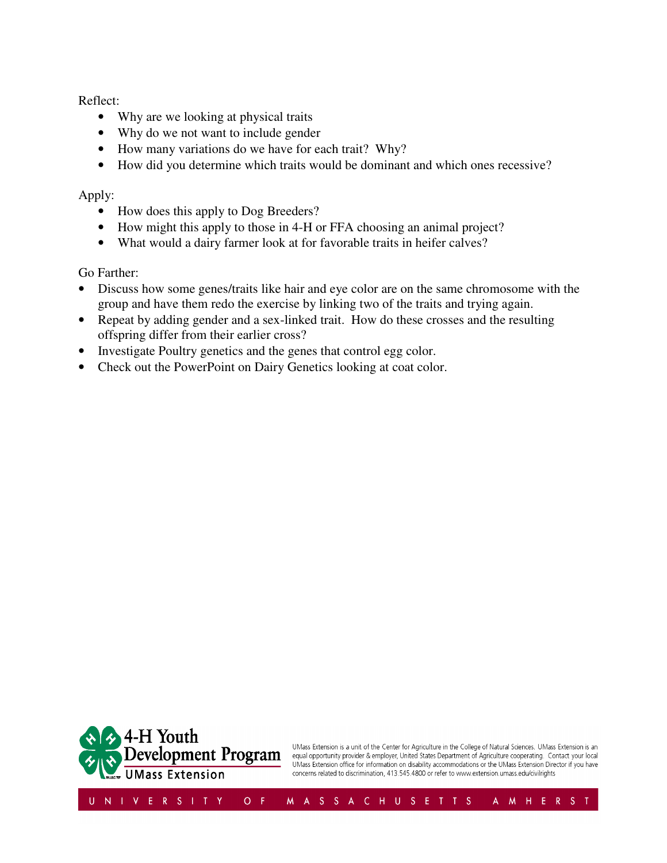Reflect:

- Why are we looking at physical traits
- Why do we not want to include gender
- How many variations do we have for each trait? Why?
- How did you determine which traits would be dominant and which ones recessive?

### Apply:

- How does this apply to Dog Breeders?
- How might this apply to those in 4-H or FFA choosing an animal project?
- What would a dairy farmer look at for favorable traits in heifer calves?

Go Farther:

- Discuss how some genes/traits like hair and eye color are on the same chromosome with the group and have them redo the exercise by linking two of the traits and trying again.
- Repeat by adding gender and a sex-linked trait. How do these crosses and the resulting offspring differ from their earlier cross?
- Investigate Poultry genetics and the genes that control egg color.
- Check out the PowerPoint on Dairy Genetics looking at coat color.



UMass Extension is a unit of the Center for Agriculture in the College of Natural Sciences. UMass Extension is an equal opportunity provider & employer, United States Department of Agriculture cooperating. Contact your local UMass Extension office for information on disability accommodations or the UMass Extension Director if you have concerns related to discrimination, 413.545.4800 or refer to www.extension.umass.edu/civilrights

A M H E R S T

M A S S A C H U S E T T S